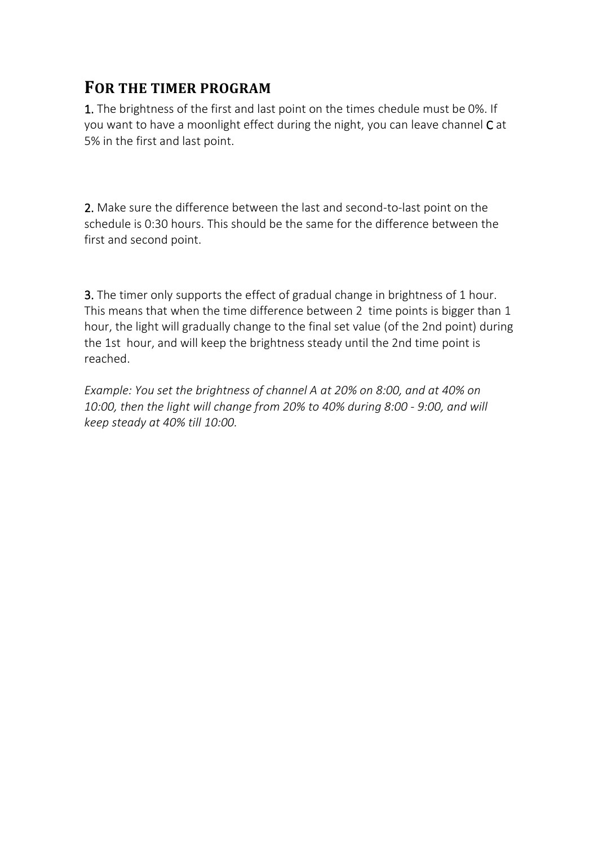## **FOR THE TIMER PROGRAM**

1. The brightness of the first and last point on the times chedule must be 0%. If you want to have a moonlight effect during the night, you can leave channel C at 5% in the first and last point.

2. Make sure the difference between the last and second-to-last point on the schedule is 0:30 hours. This should be the same for the difference between the first and second point.

**3.** The timer only supports the effect of gradual change in brightness of 1 hour. This means that when the time difference between 2 time points is bigger than 1 hour, the light will gradually change to the final set value (of the 2nd point) during the 1st hour, and will keep the brightness steady until the 2nd time point is reached.

*Example: You set the brightness of channel A at 20% on 8:00, and at 40% on 10:00, then the light will change from 20% to 40% during 8:00 - 9:00, and will keep steady at 40% till 10:00.*